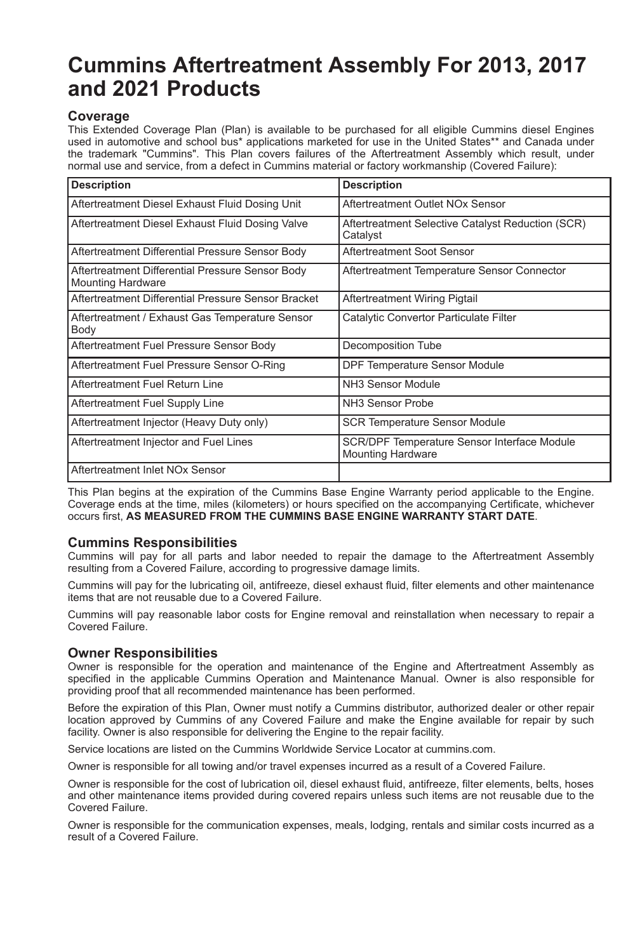# **Cummins Aftertreatment Assembly For 2013, 2017 and 2021 Products**

## **Coverage**

This Extended Coverage Plan (Plan) is available to be purchased for all eligible Cummins diesel Engines used in automotive and school bus\* applications marketed for use in the United States\*\* and Canada under the trademark "Cummins". This Plan covers failures of the Aftertreatment Assembly which result, under normal use and service, from a defect in Cummins material or factory workmanship (Covered Failure):

| <b>Description</b>                                                           | <b>Description</b>                                                      |
|------------------------------------------------------------------------------|-------------------------------------------------------------------------|
| Aftertreatment Diesel Exhaust Fluid Dosing Unit                              | Aftertreatment Outlet NO <sub>x</sub> Sensor                            |
| Aftertreatment Diesel Exhaust Fluid Dosing Valve                             | Aftertreatment Selective Catalyst Reduction (SCR)<br>Catalyst           |
| Aftertreatment Differential Pressure Sensor Body                             | Aftertreatment Soot Sensor                                              |
| Aftertreatment Differential Pressure Sensor Body<br><b>Mounting Hardware</b> | Aftertreatment Temperature Sensor Connector                             |
| Aftertreatment Differential Pressure Sensor Bracket                          | Aftertreatment Wiring Pigtail                                           |
| Aftertreatment / Exhaust Gas Temperature Sensor<br>Body                      | Catalytic Convertor Particulate Filter                                  |
| Aftertreatment Fuel Pressure Sensor Body                                     | Decomposition Tube                                                      |
| Aftertreatment Fuel Pressure Sensor O-Ring                                   | <b>DPF Temperature Sensor Module</b>                                    |
| Aftertreatment Fuel Return Line                                              | NH <sub>3</sub> Sensor Module                                           |
| Aftertreatment Fuel Supply Line                                              | NH <sub>3</sub> Sensor Probe                                            |
| Aftertreatment Injector (Heavy Duty only)                                    | <b>SCR Temperature Sensor Module</b>                                    |
| Aftertreatment Injector and Fuel Lines                                       | SCR/DPF Temperature Sensor Interface Module<br><b>Mounting Hardware</b> |
| Aftertreatment Inlet NO <sub>x</sub> Sensor                                  |                                                                         |

This Plan begins at the expiration of the Cummins Base Engine Warranty period applicable to the Engine. Coverage ends at the time, miles (kilometers) or hours specified on the accompanying Certificate, whichever occurs first, **AS MEASURED FROM THE CUMMINS BASE ENGINE WARRANTY START DATE**.

# **Cummins Responsibilities**

Cummins will pay for all parts and labor needed to repair the damage to the Aftertreatment Assembly resulting from a Covered Failure, according to progressive damage limits.

Cummins will pay for the lubricating oil, antifreeze, diesel exhaust fluid, filter elements and other maintenance items that are not reusable due to a Covered Failure.

Cummins will pay reasonable labor costs for Engine removal and reinstallation when necessary to repair a Covered Failure.

### **Owner Responsibilities**

Owner is responsible for the operation and maintenance of the Engine and Aftertreatment Assembly as specified in the applicable Cummins Operation and Maintenance Manual. Owner is also responsible for providing proof that all recommended maintenance has been performed.

Before the expiration of this Plan, Owner must notify a Cummins distributor, authorized dealer or other repair location approved by Cummins of any Covered Failure and make the Engine available for repair by such facility. Owner is also responsible for delivering the Engine to the repair facility.

Service locations are listed on the Cummins Worldwide Service Locator at cummins.com.

Owner is responsible for all towing and/or travel expenses incurred as a result of a Covered Failure.

Owner is responsible for the cost of lubrication oil, diesel exhaust fluid, antifreeze, filter elements, belts, hoses and other maintenance items provided during covered repairs unless such items are not reusable due to the Covered Failure.

Owner is responsible for the communication expenses, meals, lodging, rentals and similar costs incurred as a result of a Covered Failure.